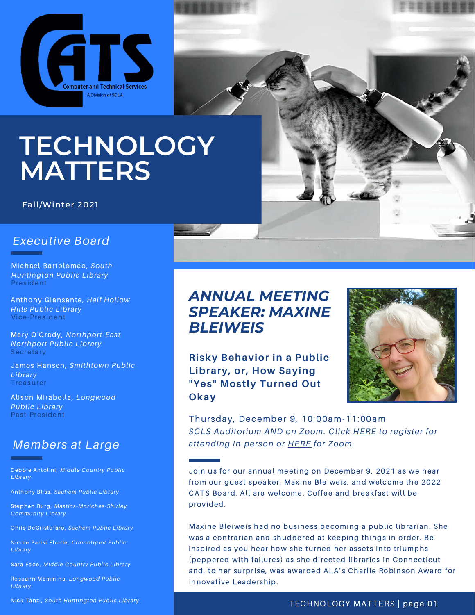

**TECHNOLOGY MATTERS**

#### Fall/Winter 2021

### *Executive Board*

Michael Bartolomeo, *South Huntington Public Library* President

Anthony Giansante, *Half Hollow Hills Public Library* Vice-President

Mary O'Grady, *Northport-East Northport Public Library* **Secretary** 

James Hansen, *Smithtown Public Library* Treasurer

Alison Mirabella, *Longwood Public Library* Past-President

## *Members at Large*

Debbie Antolini, *Middle Country Public Library*

Anthony Bliss*, Sachem Public Library*

Stephen Burg, *Mastics-Moriches-Shirley Community Library*

Chris DeCristofaro, *Sachem Public Library*

Nicole Parisi Eberle*, Connetquot Public Library*

Sara Fade, *Middle Country Public Library*

Roseann Mammina, *Longwood Public Library*

Nick Tanzi, *South Huntington Public Library*



**Risky Behavior in a Public Library, or, How Saying "Yes" Mostly Turned Out Okay**



Thursday, December 9, 10:00am-11:00am *SCLS Auditorium AND on Zoom. Click [HERE](https://forms.gle/6x1eM3gcqGKxawLp6) to register for attending in-person or [HERE](https://us02web.zoom.us/meeting/register/tZItdeCsrDsoH9y8JH6JkWgviR6E0odzmvQR) for Zoom.*

Join us for our annual meeting on December 9, 2021 as we hear from our guest speaker, Maxine Bleiweis, and welcome the 2022 CATS Board. All are welcome. Coffee and breakfast will be provided.

Maxine Bleiweis had no business becoming a public librarian. She was a contrarian and shuddered at keeping things in order. Be inspired as you hear how she turned her assets into triumphs (peppered with failures) as she directed libraries in Connecticut and, to her surprise, was awarded ALA's Charlie Robinson Award for Innovative Leadership.

#### TECHNOLOGY MATTERS | page 01